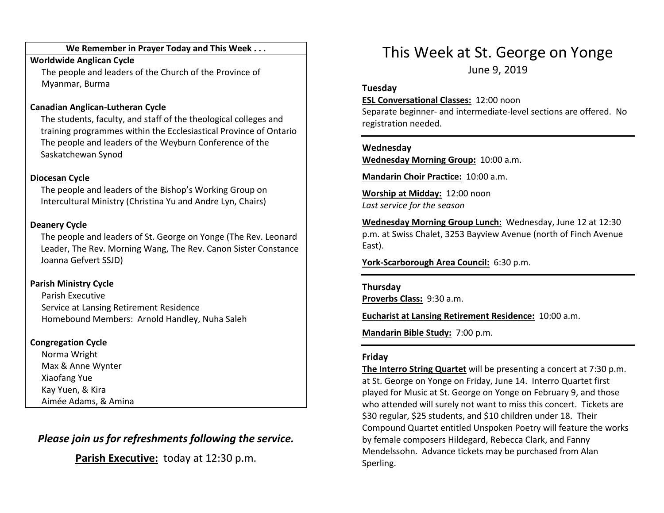#### We Remember in Prayer Today and This Week . . .

#### Worldwide Anglican Cycle

 The people and leaders of the Church of the Province of Myanmar, Burma

### Canadian Anglican-Lutheran Cycle

The students, faculty, and staff of the theological colleges and training programmes within the Ecclesiastical Province of Ontario The people and leaders of the Weyburn Conference of the Saskatchewan Synod

#### Diocesan Cycle

The people and leaders of the Bishop's Working Group on Intercultural Ministry (Christina Yu and Andre Lyn, Chairs)

### Deanery Cycle

The people and leaders of St. George on Yonge (The Rev. Leonard Leader, The Rev. Morning Wang, The Rev. Canon Sister Constance Joanna Gefvert SSJD)

### Parish Ministry Cycle

Parish Executive Service at Lansing Retirement Residence Homebound Members: Arnold Handley, Nuha Saleh

### Congregation Cycle

Norma Wright Max & Anne Wynter Xiaofang Yue Kay Yuen, & Kira Aimée Adams, & Amina

## Please join us for refreshments following the service.

Parish Executive: today at 12:30 p.m.

# This Week at St. George on Yonge

June 9, 2019

#### Tuesday

#### ESL Conversational Classes: 12:00 noon

Separate beginner- and intermediate-level sections are offered. No registration needed.

#### Wednesday

Wednesday Morning Group: 10:00 a.m.

Mandarin Choir Practice: 10:00 a.m.

Worship at Midday: 12:00 noon Last service for the season

Wednesday Morning Group Lunch: Wednesday, June 12 at 12:30 p.m. at Swiss Chalet, 3253 Bayview Avenue (north of Finch Avenue East).

York-Scarborough Area Council: 6:30 p.m.

#### Thursday

Proverbs Class: 9:30 a.m.

Eucharist at Lansing Retirement Residence: 10:00 a.m.

Mandarin Bible Study: 7:00 p.m.

#### Friday

The Interro String Quartet will be presenting a concert at 7:30 p.m. at St. George on Yonge on Friday, June 14. Interro Quartet first played for Music at St. George on Yonge on February 9, and those who attended will surely not want to miss this concert. Tickets are \$30 regular, \$25 students, and \$10 children under 18. Their Compound Quartet entitled Unspoken Poetry will feature the works by female composers Hildegard, Rebecca Clark, and Fanny Mendelssohn. Advance tickets may be purchased from Alan Sperling.